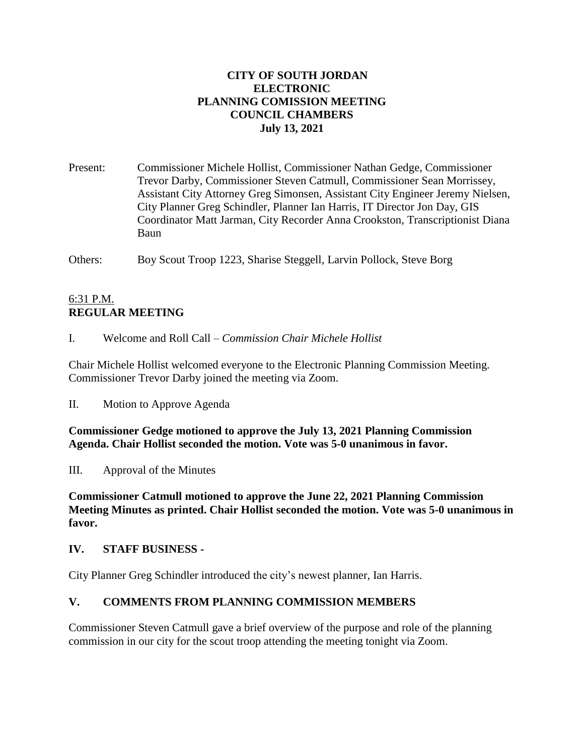## **CITY OF SOUTH JORDAN ELECTRONIC PLANNING COMISSION MEETING COUNCIL CHAMBERS July 13, 2021**

Present: Commissioner Michele Hollist, Commissioner Nathan Gedge, Commissioner Trevor Darby, Commissioner Steven Catmull, Commissioner Sean Morrissey, Assistant City Attorney Greg Simonsen, Assistant City Engineer Jeremy Nielsen, City Planner Greg Schindler, Planner Ian Harris, IT Director Jon Day, GIS Coordinator Matt Jarman, City Recorder Anna Crookston, Transcriptionist Diana Baun

Others: Boy Scout Troop 1223, Sharise Steggell, Larvin Pollock, Steve Borg

# 6:31 P.M. **REGULAR MEETING**

I. Welcome and Roll Call – *Commission Chair Michele Hollist*

Chair Michele Hollist welcomed everyone to the Electronic Planning Commission Meeting. Commissioner Trevor Darby joined the meeting via Zoom.

II. Motion to Approve Agenda

**Commissioner Gedge motioned to approve the July 13, 2021 Planning Commission Agenda. Chair Hollist seconded the motion. Vote was 5-0 unanimous in favor.**

III. Approval of the Minutes

**Commissioner Catmull motioned to approve the June 22, 2021 Planning Commission Meeting Minutes as printed. Chair Hollist seconded the motion. Vote was 5-0 unanimous in favor.**

#### **IV. STAFF BUSINESS -**

City Planner Greg Schindler introduced the city's newest planner, Ian Harris.

#### **V. COMMENTS FROM PLANNING COMMISSION MEMBERS**

Commissioner Steven Catmull gave a brief overview of the purpose and role of the planning commission in our city for the scout troop attending the meeting tonight via Zoom.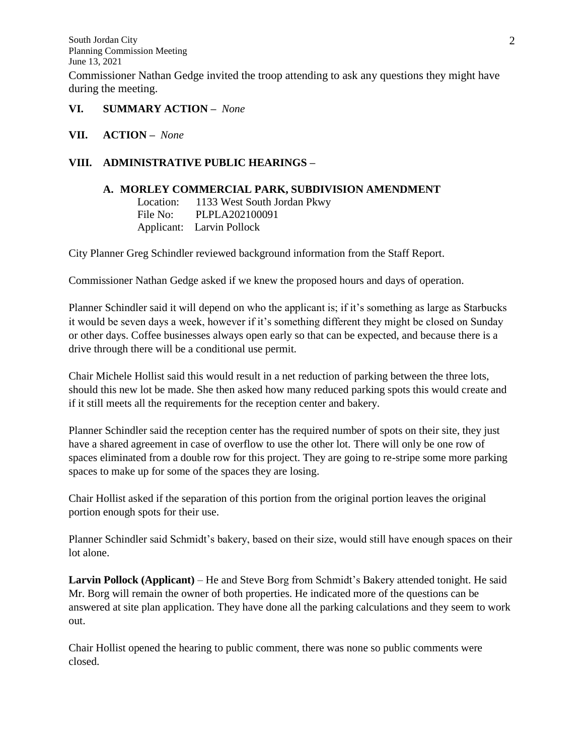- **VI. SUMMARY ACTION –** *None*
- **VII. ACTION –** *None*

### **VIII. ADMINISTRATIVE PUBLIC HEARINGS –**

### **A. MORLEY COMMERCIAL PARK, SUBDIVISION AMENDMENT**

Location: 1133 West South Jordan Pkwy File No: PLPLA202100091 Applicant: Larvin Pollock

City Planner Greg Schindler reviewed background information from the Staff Report.

Commissioner Nathan Gedge asked if we knew the proposed hours and days of operation.

Planner Schindler said it will depend on who the applicant is; if it's something as large as Starbucks it would be seven days a week, however if it's something different they might be closed on Sunday or other days. Coffee businesses always open early so that can be expected, and because there is a drive through there will be a conditional use permit.

Chair Michele Hollist said this would result in a net reduction of parking between the three lots, should this new lot be made. She then asked how many reduced parking spots this would create and if it still meets all the requirements for the reception center and bakery.

Planner Schindler said the reception center has the required number of spots on their site, they just have a shared agreement in case of overflow to use the other lot. There will only be one row of spaces eliminated from a double row for this project. They are going to re-stripe some more parking spaces to make up for some of the spaces they are losing.

Chair Hollist asked if the separation of this portion from the original portion leaves the original portion enough spots for their use.

Planner Schindler said Schmidt's bakery, based on their size, would still have enough spaces on their lot alone.

**Larvin Pollock (Applicant)** – He and Steve Borg from Schmidt's Bakery attended tonight. He said Mr. Borg will remain the owner of both properties. He indicated more of the questions can be answered at site plan application. They have done all the parking calculations and they seem to work out.

Chair Hollist opened the hearing to public comment, there was none so public comments were closed.